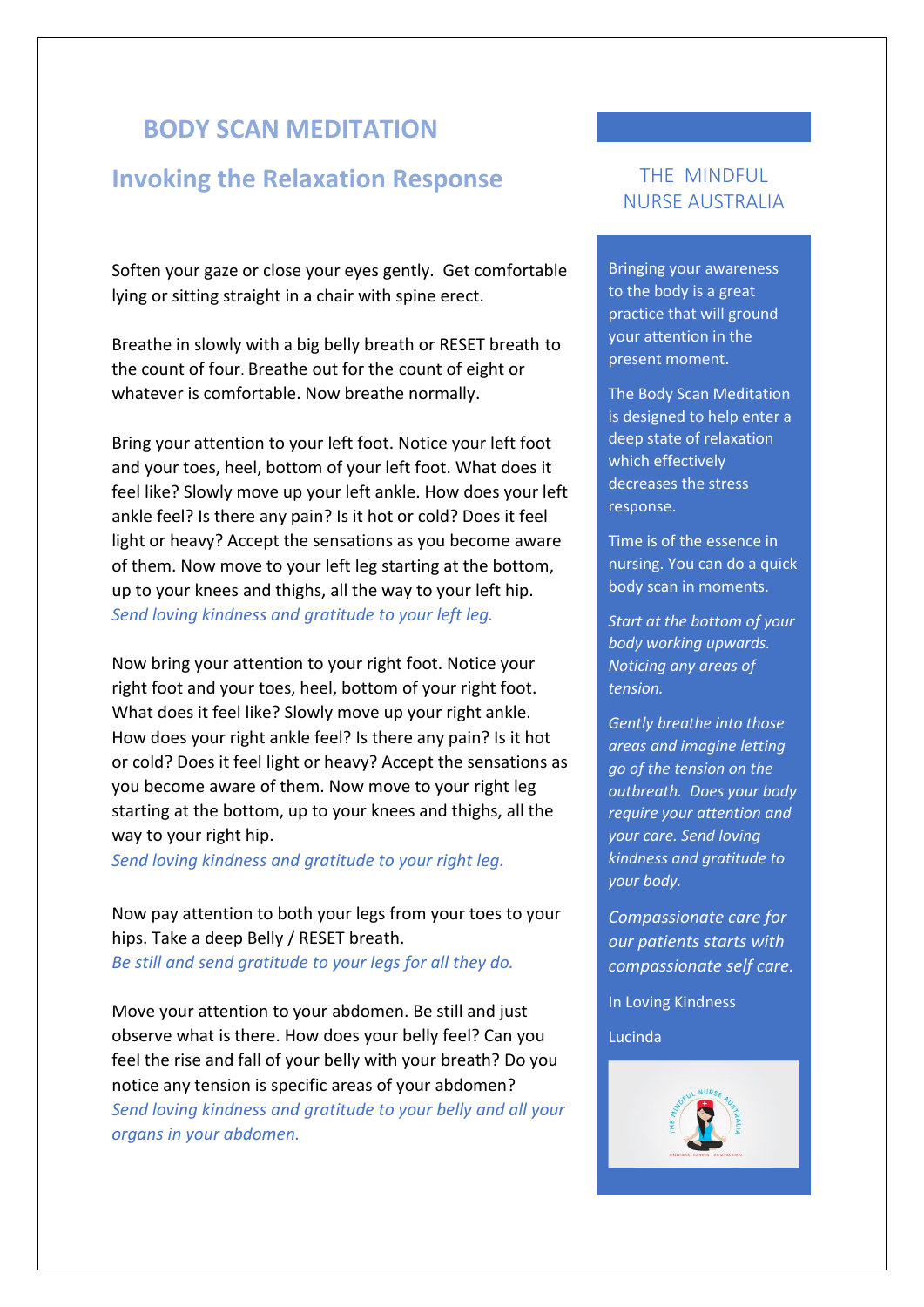## **BODY SCAN MEDITATION**

## **Invoking the Relaxation Response**

Soften your gaze or close your eyes gently. Get comfortable lying or sitting straight in a chair with spine erect.

Breathe in slowly with a big belly breath or RESET breath to the count of four. Breathe out for the count of eight or whatever is comfortable. Now breathe normally.

Bring your attention to your left foot. Notice your left foot and your toes, heel, bottom of your left foot. What does it feel like? Slowly move up your left ankle. How does your left ankle feel? Is there any pain? Is it hot or cold? Does it feel light or heavy? Accept the sensations as you become aware of them. Now move to your left leg starting at the bottom, up to your knees and thighs, all the way to your left hip. *Send loving kindness and gratitude to your left leg.*

Now bring your attention to your right foot. Notice your right foot and your toes, heel, bottom of your right foot. What does it feel like? Slowly move up your right ankle. How does your right ankle feel? Is there any pain? Is it hot or cold? Does it feel light or heavy? Accept the sensations as you become aware of them. Now move to your right leg starting at the bottom, up to your knees and thighs, all the way to your right hip.

*Send loving kindness and gratitude to your right leg.*

Now pay attention to both your legs from your toes to your hips. Take a deep Belly / RESET breath. *Be still and send gratitude to your legs for all they do.* 

Move your attention to your abdomen. Be still and just observe what is there. How does your belly feel? Can you feel the rise and fall of your belly with your breath? Do you notice any tension is specific areas of your abdomen? *Send loving kindness and gratitude to your belly and all your organs in your abdomen.*

## THE MINDFUL NURSE AUSTRALIA

Bringing your awareness to the body is a great practice that will ground your attention in the present moment.

The Body Scan Meditation is designed to help enter a deep state of relaxation which effectively decreases the stress response.

Time is of the essence in nursing. You can do a quick body scan in moments.

*Start at the bottom of your body working upwards. Noticing any areas of tension.* 

*Gently breathe into those areas and imagine letting go of the tension on the outbreath. Does your body require your attention and your care. Send loving kindness and gratitude to your body.*

*Compassionate care for our patients starts with compassionate self care.* 

In Loving Kindness

Lucinda